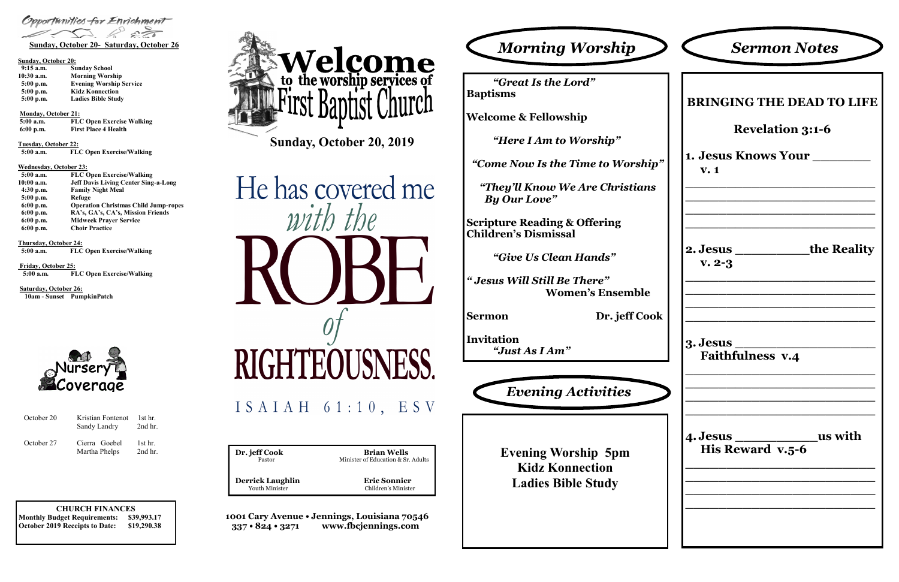**CHURCH FINANCES Monthly Budget Requirements: \$39,993.17 October 2019 Receipts to Date: \$19,290.38** **Dr. jeff Cook Brian Wells**<br>Pastor Minister of Education & Sr. Minister of Education & Sr. Adults  **Derrick Laughlin Eric Sonnier** Youth Minister Children's Minister

**1001 Cary Avenue • Jennings, Louisiana 70546 337 • 824 • 3271 www.fbcjennings.com**

**Sunday, October 20, 2019**







### **Sunday, October 20:**

| $9:15$ a.m.  | <b>Sunday School</b>           |
|--------------|--------------------------------|
| $10:30$ a.m. | <b>Morning Worship</b>         |
| $5:00$ p.m.  | <b>Evening Worship Service</b> |
| $5:00$ p.m.  | <b>Kidz Konnection</b>         |
| $5:00$ p.m.  | <b>Ladies Bible Study</b>      |

**Monday, October 21:** 

**5:00 a.m. FLC Open Exercise Walking 6:00 p.m. First Place 4 Health**

**Tuesday, October 22:**

 **5:00 a.m. FLC Open Exercise/Walking**

### **Wednesday, October 23:**

| $5:00$ a.m. | <b>FLC Open Exercise/Walking</b>            |
|-------------|---------------------------------------------|
| 10:00 a.m.  | <b>Jeff Davis Living Center Sing-a-Long</b> |
| $4:30$ p.m. | <b>Family Night Meal</b>                    |
| 5:00 p.m.   | Refuge                                      |
| $6:00$ p.m. | <b>Operation Christmas Child Jump-ropes</b> |
| $6:00$ p.m. | RA's, GA's, CA's, Mission Friends           |
| $6:00$ p.m. | <b>Midweek Prayer Service</b>               |
| $6:00$ p.m. | <b>Choir Practice</b>                       |

**Thursday, October 24:**

 **5:00 a.m. FLC Open Exercise/Walking**

**Friday, October 25: 5:00 a.m. FLC Open Exercise/Walking**

**Saturday, October 26: 10am - Sunset PumpkinPatch**



*"Great Is the Lord"* **Baptisms**

**Welcome & Fellowship**

*"Here I Am to Worship"*

 *"Come Now Is the Time to Worship"*

*"They'll Know We Are Christians By Our Love"*

**Scripture Reading & Offering Children's Dismissal**

*"Give Us Clean Hands"*

*" Jesus Will Still Be There"* **Women's Ensemble**

**Sermon Dr. jeff Cook**

**Invitation** *"Just As I Am"*

|                 | <b>Sermon Notes</b>              |
|-----------------|----------------------------------|
|                 | <b>BRINGING THE DEAD TO LIFE</b> |
|                 | <b>Revelation 3:1-6</b>          |
| V.1             | <b>1. Jesus Knows Your</b>       |
|                 |                                  |
| $v. 2-3$        | 2. Jesus ____________the Reality |
| <b>3. Jesus</b> | <b>Faithfulness v.4</b>          |
|                 |                                  |

**Evening Worship 5pm Kidz Konnection Ladies Bible Study**



| October 20 | Kristian Fontenot<br>Sandy Landry | 1st hr.<br>2nd hr.     |
|------------|-----------------------------------|------------------------|
| October 27 | Cierra Goebel<br>Martha Phelps    | $1st$ hr.<br>$2nd$ hr. |